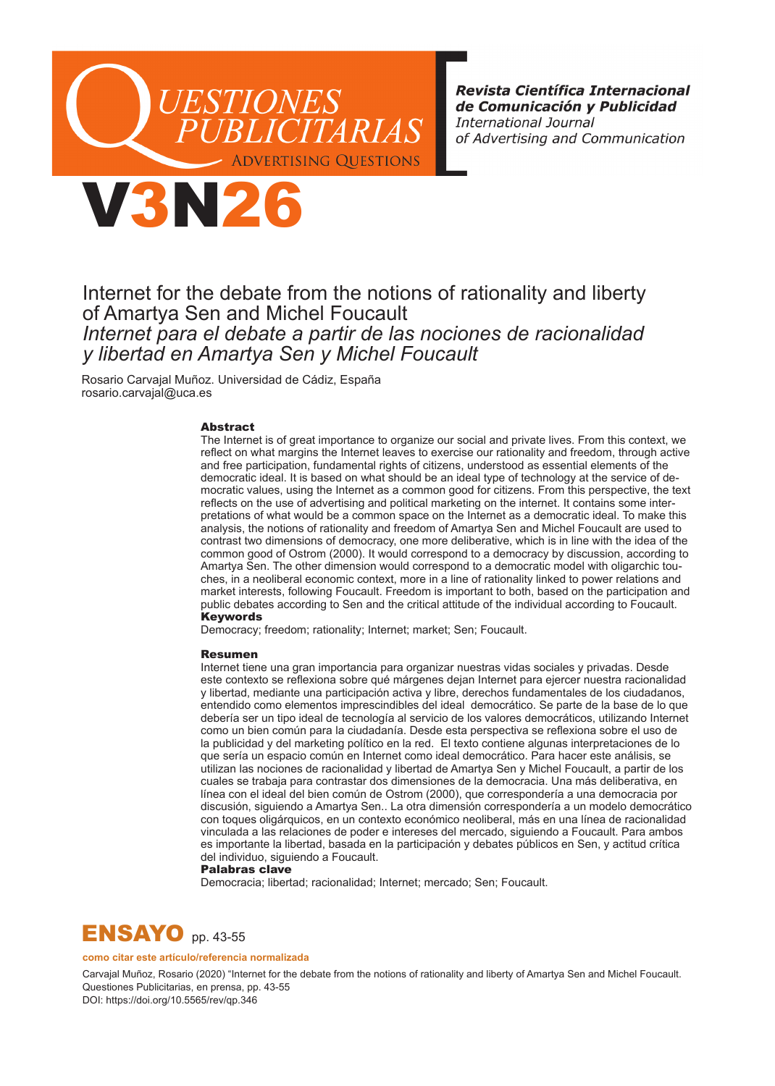

Revista Científica Internacional de Comunicación y Publicidad **International Journal** of Advertising and Communication



Internet for the debate from the notions of rationality and liberty of Amartya Sen and Michel Foucault *Internet para el debate a partir de las nociones de racionalidad y libertad en Amartya Sen y Michel Foucault*

Rosario Carvajal Muñoz. Universidad de Cádiz, España rosario.carvajal@uca.es

#### Abstract

The Internet is of great importance to organize our social and private lives. From this context, we reflect on what margins the Internet leaves to exercise our rationality and freedom, through active and free participation, fundamental rights of citizens, understood as essential elements of the democratic ideal. It is based on what should be an ideal type of technology at the service of democratic values, using the Internet as a common good for citizens. From this perspective, the text reflects on the use of advertising and political marketing on the internet. It contains some interpretations of what would be a common space on the Internet as a democratic ideal. To make this analysis, the notions of rationality and freedom of Amartya Sen and Michel Foucault are used to contrast two dimensions of democracy, one more deliberative, which is in line with the idea of the common good of Ostrom (2000). It would correspond to a democracy by discussion, according to Amartya Sen. The other dimension would correspond to a democratic model with oligarchic touches, in a neoliberal economic context, more in a line of rationality linked to power relations and market interests, following Foucault. Freedom is important to both, based on the participation and public debates according to Sen and the critical attitude of the individual according to Foucault. Keywords

Democracy; freedom; rationality; Internet; market; Sen; Foucault.

#### Resumen

Internet tiene una gran importancia para organizar nuestras vidas sociales y privadas. Desde este contexto se reflexiona sobre qué márgenes dejan Internet para ejercer nuestra racionalidad y libertad, mediante una participación activa y libre, derechos fundamentales de los ciudadanos, entendido como elementos imprescindibles del ideal democrático. Se parte de la base de lo que debería ser un tipo ideal de tecnología al servicio de los valores democráticos, utilizando Internet como un bien común para la ciudadanía. Desde esta perspectiva se reflexiona sobre el uso de la publicidad y del marketing político en la red. El texto contiene algunas interpretaciones de lo que sería un espacio común en Internet como ideal democrático. Para hacer este análisis, se utilizan las nociones de racionalidad y libertad de Amartya Sen y Michel Foucault, a partir de los cuales se trabaja para contrastar dos dimensiones de la democracia. Una más deliberativa, en línea con el ideal del bien común de Ostrom (2000), que correspondería a una democracia por discusión, siguiendo a Amartya Sen.. La otra dimensión correspondería a un modelo democrático con toques oligárquicos, en un contexto económico neoliberal, más en una línea de racionalidad vinculada a las relaciones de poder e intereses del mercado, siguiendo a Foucault. Para ambos es importante la libertad, basada en la participación y debates públicos en Sen, y actitud crítica del individuo, siguiendo a Foucault.

#### Palabras clave

Democracia; libertad; racionalidad; Internet; mercado; Sen; Foucault.



#### **como citar este artículo/referencia normalizada**

Carvajal Muñoz, Rosario (2020) "Internet for the debate from the notions of rationality and liberty of Amartya Sen and Michel Foucault. Questiones Publicitarias, en prensa, pp. 43-55

DOI: https://doi.org/10.5565/rev/qp.346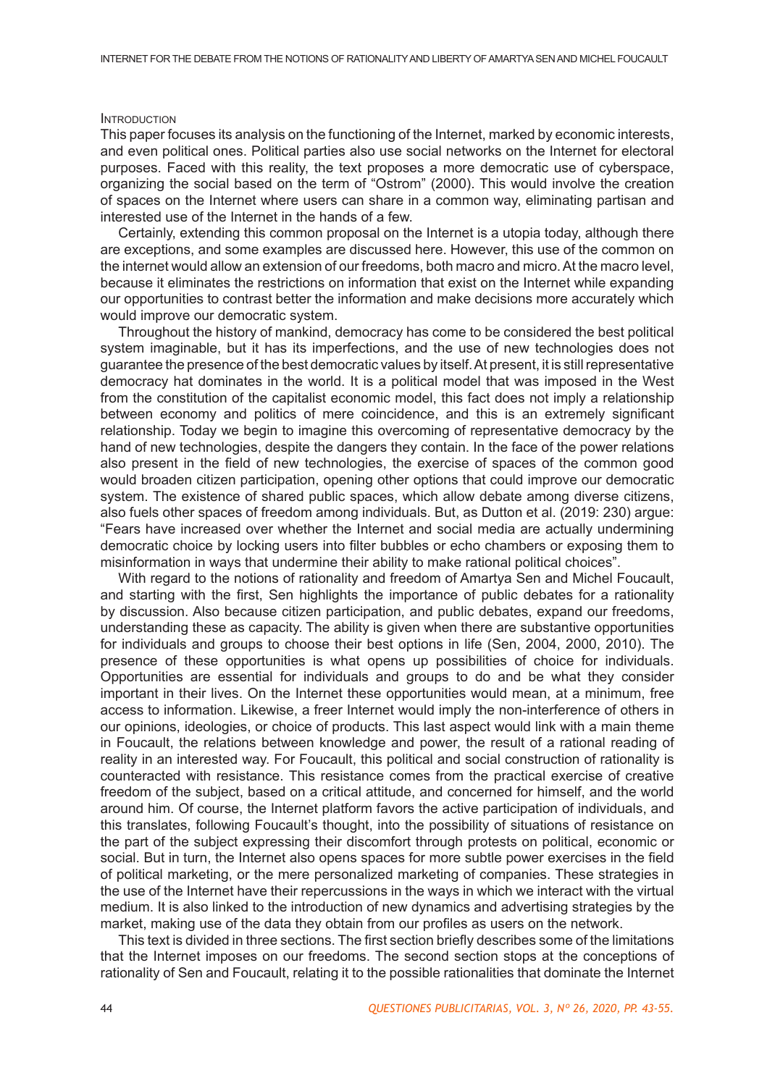## **INTRODUCTION**

This paper focuses its analysis on the functioning of the Internet, marked by economic interests, and even political ones. Political parties also use social networks on the Internet for electoral purposes. Faced with this reality, the text proposes a more democratic use of cyberspace, organizing the social based on the term of "Ostrom" (2000). This would involve the creation of spaces on the Internet where users can share in a common way, eliminating partisan and interested use of the Internet in the hands of a few.

Certainly, extending this common proposal on the Internet is a utopia today, although there are exceptions, and some examples are discussed here. However, this use of the common on the internet would allow an extension of our freedoms, both macro and micro. At the macro level, because it eliminates the restrictions on information that exist on the Internet while expanding our opportunities to contrast better the information and make decisions more accurately which would improve our democratic system.

Throughout the history of mankind, democracy has come to be considered the best political system imaginable, but it has its imperfections, and the use of new technologies does not guarantee the presence of the best democratic values by itself. At present, it is still representative democracy hat dominates in the world. It is a political model that was imposed in the West from the constitution of the capitalist economic model, this fact does not imply a relationship between economy and politics of mere coincidence, and this is an extremely significant relationship. Today we begin to imagine this overcoming of representative democracy by the hand of new technologies, despite the dangers they contain. In the face of the power relations also present in the field of new technologies, the exercise of spaces of the common good would broaden citizen participation, opening other options that could improve our democratic system. The existence of shared public spaces, which allow debate among diverse citizens, also fuels other spaces of freedom among individuals. But, as Dutton et al. (2019: 230) argue: "Fears have increased over whether the Internet and social media are actually undermining democratic choice by locking users into filter bubbles or echo chambers or exposing them to misinformation in ways that undermine their ability to make rational political choices".

With regard to the notions of rationality and freedom of Amartya Sen and Michel Foucault, and starting with the first, Sen highlights the importance of public debates for a rationality by discussion. Also because citizen participation, and public debates, expand our freedoms, understanding these as capacity. The ability is given when there are substantive opportunities for individuals and groups to choose their best options in life (Sen, 2004, 2000, 2010). The presence of these opportunities is what opens up possibilities of choice for individuals. Opportunities are essential for individuals and groups to do and be what they consider important in their lives. On the Internet these opportunities would mean, at a minimum, free access to information. Likewise, a freer Internet would imply the non-interference of others in our opinions, ideologies, or choice of products. This last aspect would link with a main theme in Foucault, the relations between knowledge and power, the result of a rational reading of reality in an interested way. For Foucault, this political and social construction of rationality is counteracted with resistance. This resistance comes from the practical exercise of creative freedom of the subject, based on a critical attitude, and concerned for himself, and the world around him. Of course, the Internet platform favors the active participation of individuals, and this translates, following Foucault's thought, into the possibility of situations of resistance on the part of the subject expressing their discomfort through protests on political, economic or social. But in turn, the Internet also opens spaces for more subtle power exercises in the field of political marketing, or the mere personalized marketing of companies. These strategies in the use of the Internet have their repercussions in the ways in which we interact with the virtual medium. It is also linked to the introduction of new dynamics and advertising strategies by the market, making use of the data they obtain from our profiles as users on the network.

This text is divided in three sections. The first section briefly describes some of the limitations that the Internet imposes on our freedoms. The second section stops at the conceptions of rationality of Sen and Foucault, relating it to the possible rationalities that dominate the Internet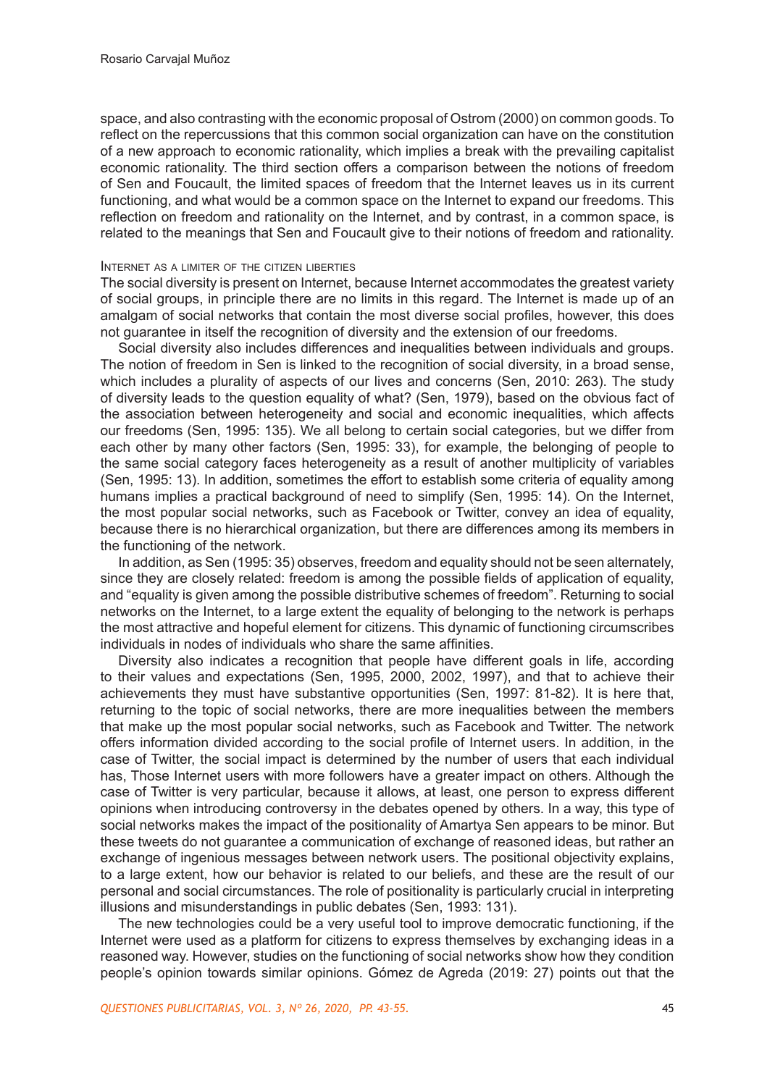space, and also contrasting with the economic proposal of Ostrom (2000) on common goods. To reflect on the repercussions that this common social organization can have on the constitution of a new approach to economic rationality, which implies a break with the prevailing capitalist economic rationality. The third section offers a comparison between the notions of freedom of Sen and Foucault, the limited spaces of freedom that the Internet leaves us in its current functioning, and what would be a common space on the Internet to expand our freedoms. This reflection on freedom and rationality on the Internet, and by contrast, in a common space, is related to the meanings that Sen and Foucault give to their notions of freedom and rationality.

# Internet as a limiter of the citizen liberties

The social diversity is present on Internet, because Internet accommodates the greatest variety of social groups, in principle there are no limits in this regard. The Internet is made up of an amalgam of social networks that contain the most diverse social profiles, however, this does not guarantee in itself the recognition of diversity and the extension of our freedoms.

Social diversity also includes differences and inequalities between individuals and groups. The notion of freedom in Sen is linked to the recognition of social diversity, in a broad sense, which includes a plurality of aspects of our lives and concerns (Sen, 2010: 263). The study of diversity leads to the question equality of what? (Sen, 1979), based on the obvious fact of the association between heterogeneity and social and economic inequalities, which affects our freedoms (Sen, 1995: 135). We all belong to certain social categories, but we differ from each other by many other factors (Sen, 1995: 33), for example, the belonging of people to the same social category faces heterogeneity as a result of another multiplicity of variables (Sen, 1995: 13). In addition, sometimes the effort to establish some criteria of equality among humans implies a practical background of need to simplify (Sen, 1995: 14). On the Internet, the most popular social networks, such as Facebook or Twitter, convey an idea of equality, because there is no hierarchical organization, but there are differences among its members in the functioning of the network.

In addition, as Sen (1995: 35) observes, freedom and equality should not be seen alternately, since they are closely related: freedom is among the possible fields of application of equality, and "equality is given among the possible distributive schemes of freedom". Returning to social networks on the Internet, to a large extent the equality of belonging to the network is perhaps the most attractive and hopeful element for citizens. This dynamic of functioning circumscribes individuals in nodes of individuals who share the same affinities.

Diversity also indicates a recognition that people have different goals in life, according to their values and expectations (Sen, 1995, 2000, 2002, 1997), and that to achieve their achievements they must have substantive opportunities (Sen, 1997: 81-82). It is here that, returning to the topic of social networks, there are more inequalities between the members that make up the most popular social networks, such as Facebook and Twitter. The network offers information divided according to the social profile of Internet users. In addition, in the case of Twitter, the social impact is determined by the number of users that each individual has, Those Internet users with more followers have a greater impact on others. Although the case of Twitter is very particular, because it allows, at least, one person to express different opinions when introducing controversy in the debates opened by others. In a way, this type of social networks makes the impact of the positionality of Amartya Sen appears to be minor. But these tweets do not guarantee a communication of exchange of reasoned ideas, but rather an exchange of ingenious messages between network users. The positional objectivity explains, to a large extent, how our behavior is related to our beliefs, and these are the result of our personal and social circumstances. The role of positionality is particularly crucial in interpreting illusions and misunderstandings in public debates (Sen, 1993: 131).

The new technologies could be a very useful tool to improve democratic functioning, if the Internet were used as a platform for citizens to express themselves by exchanging ideas in a reasoned way. However, studies on the functioning of social networks show how they condition people's opinion towards similar opinions. Gómez de Agreda (2019: 27) points out that the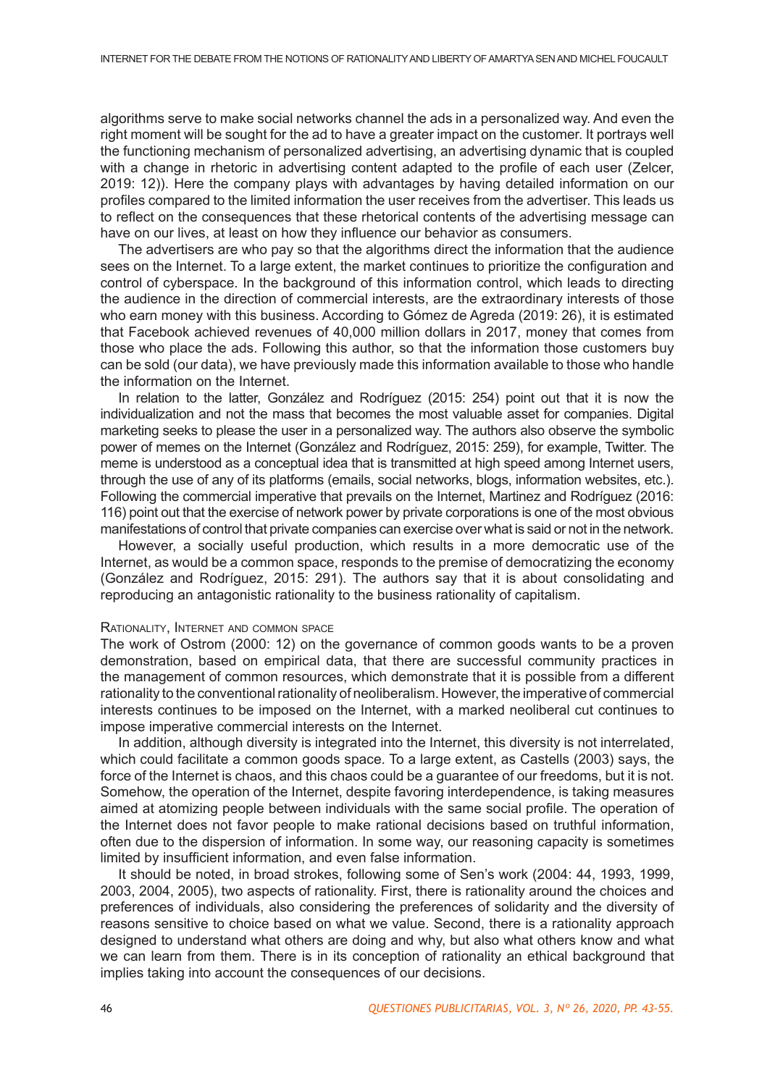algorithms serve to make social networks channel the ads in a personalized way. And even the right moment will be sought for the ad to have a greater impact on the customer. It portrays well the functioning mechanism of personalized advertising, an advertising dynamic that is coupled with a change in rhetoric in advertising content adapted to the profile of each user (Zelcer, 2019: 12)). Here the company plays with advantages by having detailed information on our profiles compared to the limited information the user receives from the advertiser. This leads us to reflect on the consequences that these rhetorical contents of the advertising message can have on our lives, at least on how they influence our behavior as consumers.

The advertisers are who pay so that the algorithms direct the information that the audience sees on the Internet. To a large extent, the market continues to prioritize the configuration and control of cyberspace. In the background of this information control, which leads to directing the audience in the direction of commercial interests, are the extraordinary interests of those who earn money with this business. According to Gómez de Agreda (2019: 26), it is estimated that Facebook achieved revenues of 40,000 million dollars in 2017, money that comes from those who place the ads. Following this author, so that the information those customers buy can be sold (our data), we have previously made this information available to those who handle the information on the Internet.

In relation to the latter, González and Rodríguez (2015: 254) point out that it is now the individualization and not the mass that becomes the most valuable asset for companies. Digital marketing seeks to please the user in a personalized way. The authors also observe the symbolic power of memes on the Internet (González and Rodríguez, 2015: 259), for example, Twitter. The meme is understood as a conceptual idea that is transmitted at high speed among Internet users, through the use of any of its platforms (emails, social networks, blogs, information websites, etc.). Following the commercial imperative that prevails on the Internet, Martinez and Rodríguez (2016: 116) point out that the exercise of network power by private corporations is one of the most obvious manifestations of control that private companies can exercise over what is said or not in the network.

However, a socially useful production, which results in a more democratic use of the Internet, as would be a common space, responds to the premise of democratizing the economy (González and Rodríguez, 2015: 291). The authors say that it is about consolidating and reproducing an antagonistic rationality to the business rationality of capitalism.

## Rationality, Internet and common space

The work of Ostrom (2000: 12) on the governance of common goods wants to be a proven demonstration, based on empirical data, that there are successful community practices in the management of common resources, which demonstrate that it is possible from a different rationality to the conventional rationality of neoliberalism. However, the imperative of commercial interests continues to be imposed on the Internet, with a marked neoliberal cut continues to impose imperative commercial interests on the Internet.

In addition, although diversity is integrated into the Internet, this diversity is not interrelated, which could facilitate a common goods space. To a large extent, as Castells (2003) says, the force of the Internet is chaos, and this chaos could be a guarantee of our freedoms, but it is not. Somehow, the operation of the Internet, despite favoring interdependence, is taking measures aimed at atomizing people between individuals with the same social profile. The operation of the Internet does not favor people to make rational decisions based on truthful information, often due to the dispersion of information. In some way, our reasoning capacity is sometimes limited by insufficient information, and even false information.

It should be noted, in broad strokes, following some of Sen's work (2004: 44, 1993, 1999, 2003, 2004, 2005), two aspects of rationality. First, there is rationality around the choices and preferences of individuals, also considering the preferences of solidarity and the diversity of reasons sensitive to choice based on what we value. Second, there is a rationality approach designed to understand what others are doing and why, but also what others know and what we can learn from them. There is in its conception of rationality an ethical background that implies taking into account the consequences of our decisions.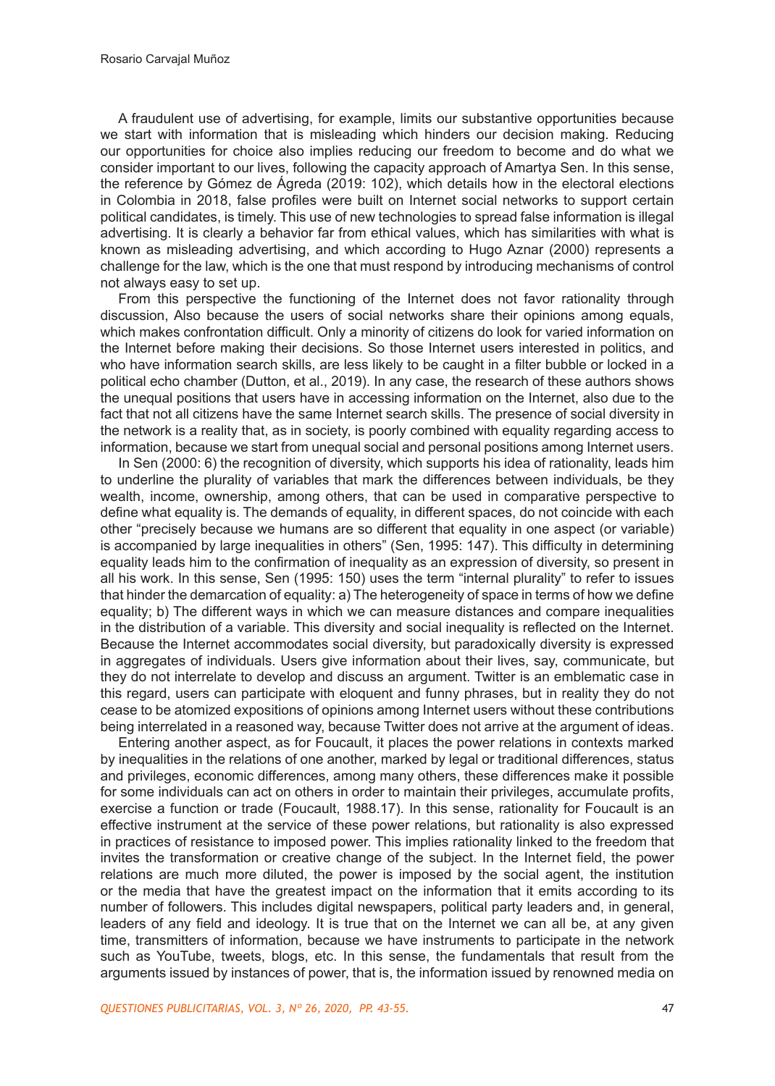A fraudulent use of advertising, for example, limits our substantive opportunities because we start with information that is misleading which hinders our decision making. Reducing our opportunities for choice also implies reducing our freedom to become and do what we consider important to our lives, following the capacity approach of Amartya Sen. In this sense, the reference by Gómez de Ágreda (2019: 102), which details how in the electoral elections in Colombia in 2018, false profiles were built on Internet social networks to support certain political candidates, is timely. This use of new technologies to spread false information is illegal advertising. It is clearly a behavior far from ethical values, which has similarities with what is known as misleading advertising, and which according to Hugo Aznar (2000) represents a challenge for the law, which is the one that must respond by introducing mechanisms of control not always easy to set up.

From this perspective the functioning of the Internet does not favor rationality through discussion, Also because the users of social networks share their opinions among equals, which makes confrontation difficult. Only a minority of citizens do look for varied information on the Internet before making their decisions. So those Internet users interested in politics, and who have information search skills, are less likely to be caught in a filter bubble or locked in a political echo chamber (Dutton, et al., 2019). In any case, the research of these authors shows the unequal positions that users have in accessing information on the Internet, also due to the fact that not all citizens have the same Internet search skills. The presence of social diversity in the network is a reality that, as in society, is poorly combined with equality regarding access to information, because we start from unequal social and personal positions among Internet users.

In Sen (2000: 6) the recognition of diversity, which supports his idea of rationality, leads him to underline the plurality of variables that mark the differences between individuals, be they wealth, income, ownership, among others, that can be used in comparative perspective to define what equality is. The demands of equality, in different spaces, do not coincide with each other "precisely because we humans are so different that equality in one aspect (or variable) is accompanied by large inequalities in others" (Sen, 1995: 147). This difficulty in determining equality leads him to the confirmation of inequality as an expression of diversity, so present in all his work. In this sense, Sen (1995: 150) uses the term "internal plurality" to refer to issues that hinder the demarcation of equality: a) The heterogeneity of space in terms of how we define equality; b) The different ways in which we can measure distances and compare inequalities in the distribution of a variable. This diversity and social inequality is reflected on the Internet. Because the Internet accommodates social diversity, but paradoxically diversity is expressed in aggregates of individuals. Users give information about their lives, say, communicate, but they do not interrelate to develop and discuss an argument. Twitter is an emblematic case in this regard, users can participate with eloquent and funny phrases, but in reality they do not cease to be atomized expositions of opinions among Internet users without these contributions being interrelated in a reasoned way, because Twitter does not arrive at the argument of ideas.

Entering another aspect, as for Foucault, it places the power relations in contexts marked by inequalities in the relations of one another, marked by legal or traditional differences, status and privileges, economic differences, among many others, these differences make it possible for some individuals can act on others in order to maintain their privileges, accumulate profits, exercise a function or trade (Foucault, 1988.17). In this sense, rationality for Foucault is an effective instrument at the service of these power relations, but rationality is also expressed in practices of resistance to imposed power. This implies rationality linked to the freedom that invites the transformation or creative change of the subject. In the Internet field, the power relations are much more diluted, the power is imposed by the social agent, the institution or the media that have the greatest impact on the information that it emits according to its number of followers. This includes digital newspapers, political party leaders and, in general, leaders of any field and ideology. It is true that on the Internet we can all be, at any given time, transmitters of information, because we have instruments to participate in the network such as YouTube, tweets, blogs, etc. In this sense, the fundamentals that result from the arguments issued by instances of power, that is, the information issued by renowned media on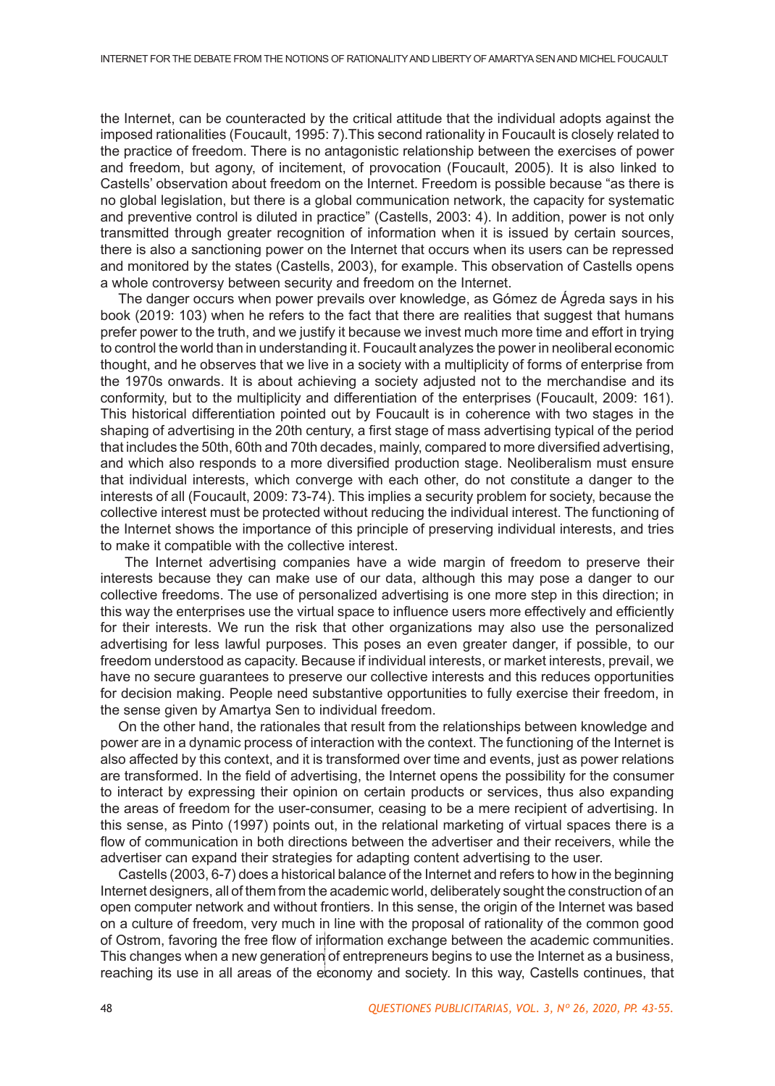the Internet, can be counteracted by the critical attitude that the individual adopts against the imposed rationalities (Foucault, 1995: 7).This second rationality in Foucault is closely related to the practice of freedom. There is no antagonistic relationship between the exercises of power and freedom, but agony, of incitement, of provocation (Foucault, 2005). It is also linked to Castells' observation about freedom on the Internet. Freedom is possible because "as there is no global legislation, but there is a global communication network, the capacity for systematic and preventive control is diluted in practice" (Castells, 2003: 4). In addition, power is not only transmitted through greater recognition of information when it is issued by certain sources, there is also a sanctioning power on the Internet that occurs when its users can be repressed and monitored by the states (Castells, 2003), for example. This observation of Castells opens a whole controversy between security and freedom on the Internet.

The danger occurs when power prevails over knowledge, as Gómez de Ágreda says in his book (2019: 103) when he refers to the fact that there are realities that suggest that humans prefer power to the truth, and we justify it because we invest much more time and effort in trying to control the world than in understanding it. Foucault analyzes the power in neoliberal economic thought, and he observes that we live in a society with a multiplicity of forms of enterprise from the 1970s onwards. It is about achieving a society adjusted not to the merchandise and its conformity, but to the multiplicity and differentiation of the enterprises (Foucault, 2009: 161). This historical differentiation pointed out by Foucault is in coherence with two stages in the shaping of advertising in the 20th century, a first stage of mass advertising typical of the period that includes the 50th, 60th and 70th decades, mainly, compared to more diversified advertising, and which also responds to a more diversified production stage. Neoliberalism must ensure that individual interests, which converge with each other, do not constitute a danger to the interests of all (Foucault, 2009: 73-74). This implies a security problem for society, because the collective interest must be protected without reducing the individual interest. The functioning of the Internet shows the importance of this principle of preserving individual interests, and tries to make it compatible with the collective interest.

 The Internet advertising companies have a wide margin of freedom to preserve their interests because they can make use of our data, although this may pose a danger to our collective freedoms. The use of personalized advertising is one more step in this direction; in this way the enterprises use the virtual space to influence users more effectively and efficiently for their interests. We run the risk that other organizations may also use the personalized advertising for less lawful purposes. This poses an even greater danger, if possible, to our freedom understood as capacity. Because if individual interests, or market interests, prevail, we have no secure guarantees to preserve our collective interests and this reduces opportunities for decision making. People need substantive opportunities to fully exercise their freedom, in the sense given by Amartya Sen to individual freedom.

On the other hand, the rationales that result from the relationships between knowledge and power are in a dynamic process of interaction with the context. The functioning of the Internet is also affected by this context, and it is transformed over time and events, just as power relations are transformed. In the field of advertising, the Internet opens the possibility for the consumer to interact by expressing their opinion on certain products or services, thus also expanding the areas of freedom for the user-consumer, ceasing to be a mere recipient of advertising. In this sense, as Pinto (1997) points out, in the relational marketing of virtual spaces there is a flow of communication in both directions between the advertiser and their receivers, while the advertiser can expand their strategies for adapting content advertising to the user.

Castells (2003, 6-7) does a historical balance of the Internet and refers to how in the beginning Internet designers, all of them from the academic world, deliberately sought the construction of an open computer network and without frontiers. In this sense, the origin of the Internet was based on a culture of freedom, very much in line with the proposal of rationality of the common good of Ostrom, favoring the free flow of information exchange between the academic communities. This changes when a new generation of entrepreneurs begins to use the Internet as a business, reaching its use in all areas of the economy and society. In this way, Castells continues, that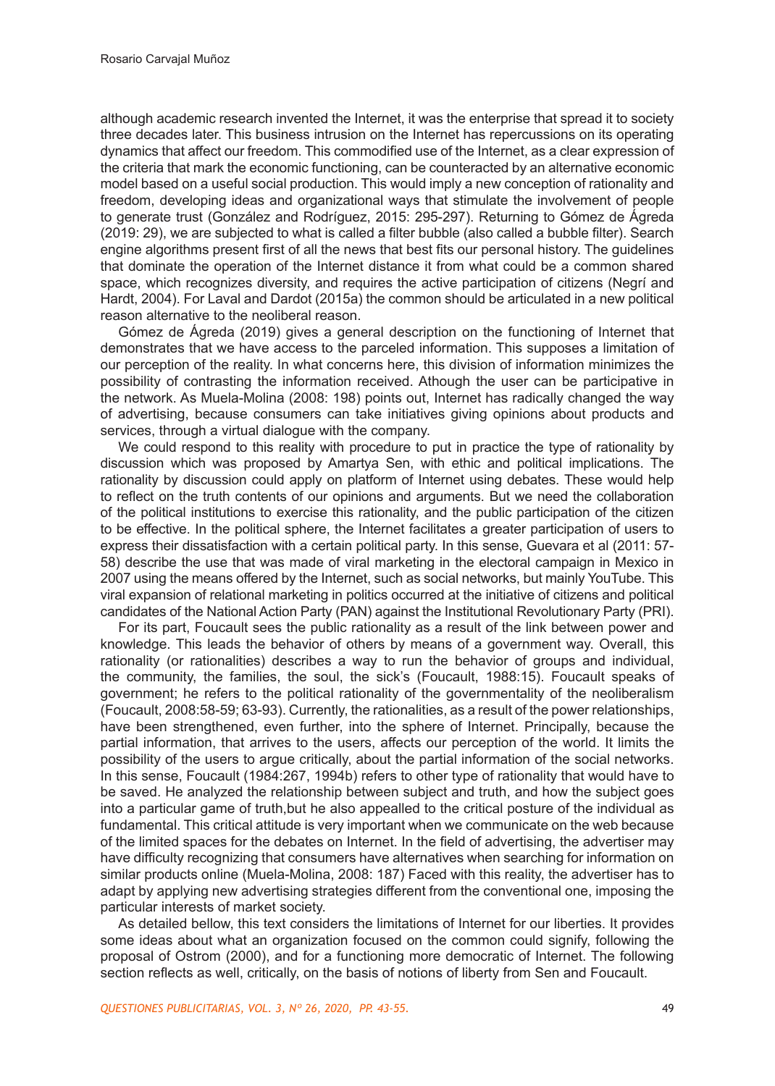although academic research invented the Internet, it was the enterprise that spread it to society three decades later. This business intrusion on the Internet has repercussions on its operating dynamics that affect our freedom. This commodified use of the Internet, as a clear expression of the criteria that mark the economic functioning, can be counteracted by an alternative economic model based on a useful social production. This would imply a new conception of rationality and freedom, developing ideas and organizational ways that stimulate the involvement of people to generate trust (González and Rodríguez, 2015: 295-297). Returning to Gómez de Ágreda (2019: 29), we are subjected to what is called a filter bubble (also called a bubble filter). Search engine algorithms present first of all the news that best fits our personal history. The guidelines that dominate the operation of the Internet distance it from what could be a common shared space, which recognizes diversity, and requires the active participation of citizens (Negrí and Hardt, 2004). For Laval and Dardot (2015a) the common should be articulated in a new political reason alternative to the neoliberal reason.

Gómez de Ágreda (2019) gives a general description on the functioning of Internet that demonstrates that we have access to the parceled information. This supposes a limitation of our perception of the reality. In what concerns here, this division of information minimizes the possibility of contrasting the information received. Athough the user can be participative in the network. As Muela-Molina (2008: 198) points out, Internet has radically changed the way of advertising, because consumers can take initiatives giving opinions about products and services, through a virtual dialogue with the company.

We could respond to this reality with procedure to put in practice the type of rationality by discussion which was proposed by Amartya Sen, with ethic and political implications. The rationality by discussion could apply on platform of Internet using debates. These would help to reflect on the truth contents of our opinions and arguments. But we need the collaboration of the political institutions to exercise this rationality, and the public participation of the citizen to be effective. In the political sphere, the Internet facilitates a greater participation of users to express their dissatisfaction with a certain political party. In this sense, Guevara et al (2011: 57- 58) describe the use that was made of viral marketing in the electoral campaign in Mexico in 2007 using the means offered by the Internet, such as social networks, but mainly YouTube. This viral expansion of relational marketing in politics occurred at the initiative of citizens and political candidates of the National Action Party (PAN) against the Institutional Revolutionary Party (PRI).

For its part, Foucault sees the public rationality as a result of the link between power and knowledge. This leads the behavior of others by means of a government way. Overall, this rationality (or rationalities) describes a way to run the behavior of groups and individual, the community, the families, the soul, the sick's (Foucault, 1988:15). Foucault speaks of government; he refers to the political rationality of the governmentality of the neoliberalism (Foucault, 2008:58-59; 63-93). Currently, the rationalities, as a result of the power relationships, have been strengthened, even further, into the sphere of Internet. Principally, because the partial information, that arrives to the users, affects our perception of the world. It limits the possibility of the users to argue critically, about the partial information of the social networks. In this sense, Foucault (1984:267, 1994b) refers to other type of rationality that would have to be saved. He analyzed the relationship between subject and truth, and how the subject goes into a particular game of truth,but he also appealled to the critical posture of the individual as fundamental. This critical attitude is very important when we communicate on the web because of the limited spaces for the debates on Internet. In the field of advertising, the advertiser may have difficulty recognizing that consumers have alternatives when searching for information on similar products online (Muela-Molina, 2008: 187) Faced with this reality, the advertiser has to adapt by applying new advertising strategies different from the conventional one, imposing the particular interests of market society.

As detailed bellow, this text considers the limitations of Internet for our liberties. It provides some ideas about what an organization focused on the common could signify, following the proposal of Ostrom (2000), and for a functioning more democratic of Internet. The following section reflects as well, critically, on the basis of notions of liberty from Sen and Foucault.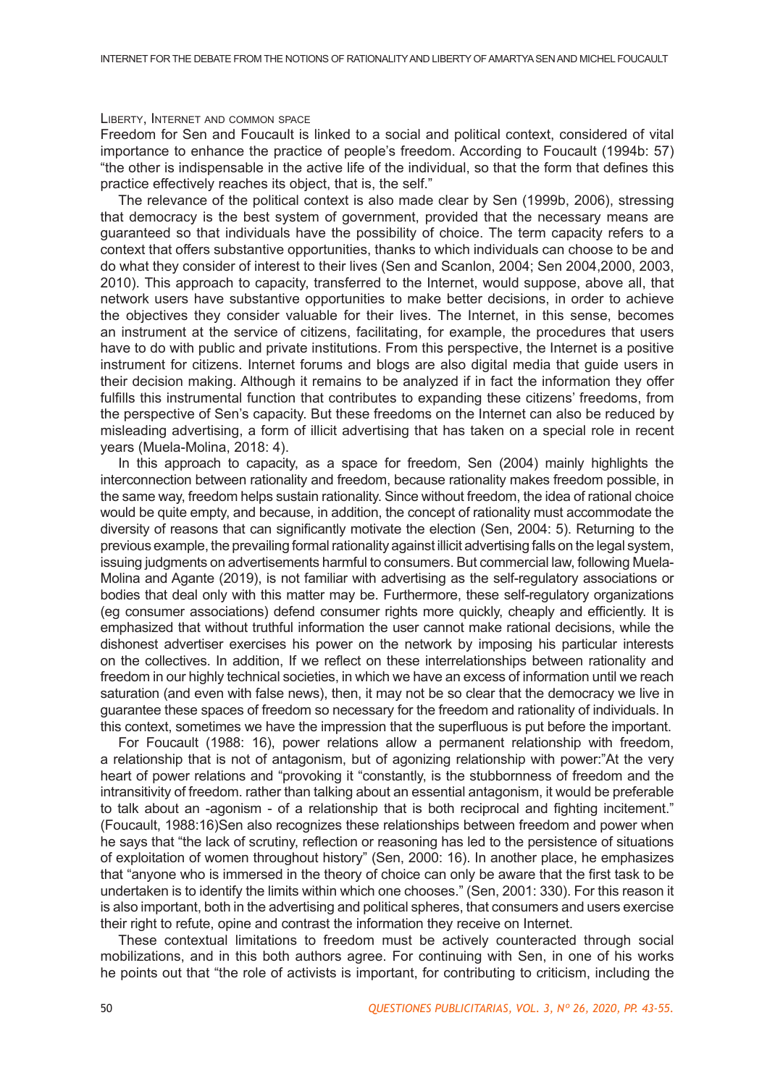### Liberty, Internet and common space

Freedom for Sen and Foucault is linked to a social and political context, considered of vital importance to enhance the practice of people's freedom. According to Foucault (1994b: 57) "the other is indispensable in the active life of the individual, so that the form that defines this practice effectively reaches its object, that is, the self."

The relevance of the political context is also made clear by Sen (1999b, 2006), stressing that democracy is the best system of government, provided that the necessary means are guaranteed so that individuals have the possibility of choice. The term capacity refers to a context that offers substantive opportunities, thanks to which individuals can choose to be and do what they consider of interest to their lives (Sen and Scanlon, 2004; Sen 2004,2000, 2003, 2010). This approach to capacity, transferred to the Internet, would suppose, above all, that network users have substantive opportunities to make better decisions, in order to achieve the objectives they consider valuable for their lives. The Internet, in this sense, becomes an instrument at the service of citizens, facilitating, for example, the procedures that users have to do with public and private institutions. From this perspective, the Internet is a positive instrument for citizens. Internet forums and blogs are also digital media that guide users in their decision making. Although it remains to be analyzed if in fact the information they offer fulfills this instrumental function that contributes to expanding these citizens' freedoms, from the perspective of Sen's capacity. But these freedoms on the Internet can also be reduced by misleading advertising, a form of illicit advertising that has taken on a special role in recent years (Muela-Molina, 2018: 4).

In this approach to capacity, as a space for freedom, Sen (2004) mainly highlights the interconnection between rationality and freedom, because rationality makes freedom possible, in the same way, freedom helps sustain rationality. Since without freedom, the idea of rational choice would be quite empty, and because, in addition, the concept of rationality must accommodate the diversity of reasons that can significantly motivate the election (Sen, 2004: 5). Returning to the previous example, the prevailing formal rationality against illicit advertising falls on the legal system, issuing judgments on advertisements harmful to consumers. But commercial law, following Muela-Molina and Agante (2019), is not familiar with advertising as the self-regulatory associations or bodies that deal only with this matter may be. Furthermore, these self-regulatory organizations (eg consumer associations) defend consumer rights more quickly, cheaply and efficiently. It is emphasized that without truthful information the user cannot make rational decisions, while the dishonest advertiser exercises his power on the network by imposing his particular interests on the collectives. In addition, If we reflect on these interrelationships between rationality and freedom in our highly technical societies, in which we have an excess of information until we reach saturation (and even with false news), then, it may not be so clear that the democracy we live in guarantee these spaces of freedom so necessary for the freedom and rationality of individuals. In this context, sometimes we have the impression that the superfluous is put before the important.

For Foucault (1988: 16), power relations allow a permanent relationship with freedom, a relationship that is not of antagonism, but of agonizing relationship with power:"At the very heart of power relations and "provoking it "constantly, is the stubbornness of freedom and the intransitivity of freedom. rather than talking about an essential antagonism, it would be preferable to talk about an -agonism - of a relationship that is both reciprocal and fighting incitement." (Foucault, 1988:16)Sen also recognizes these relationships between freedom and power when he says that "the lack of scrutiny, reflection or reasoning has led to the persistence of situations of exploitation of women throughout history" (Sen, 2000: 16). In another place, he emphasizes that "anyone who is immersed in the theory of choice can only be aware that the first task to be undertaken is to identify the limits within which one chooses." (Sen, 2001: 330). For this reason it is also important, both in the advertising and political spheres, that consumers and users exercise their right to refute, opine and contrast the information they receive on Internet.

These contextual limitations to freedom must be actively counteracted through social mobilizations, and in this both authors agree. For continuing with Sen, in one of his works he points out that "the role of activists is important, for contributing to criticism, including the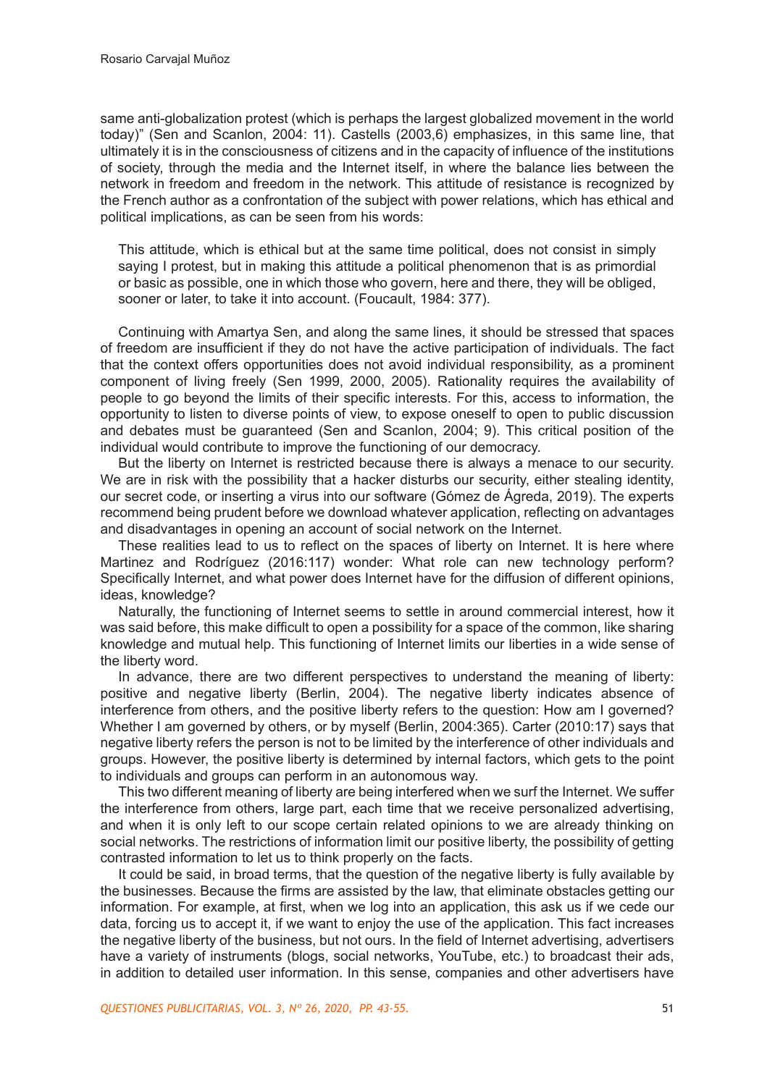same anti-globalization protest (which is perhaps the largest globalized movement in the world today)" (Sen and Scanlon, 2004: 11). Castells (2003,6) emphasizes, in this same line, that ultimately it is in the consciousness of citizens and in the capacity of influence of the institutions of society, through the media and the Internet itself, in where the balance lies between the network in freedom and freedom in the network. This attitude of resistance is recognized by the French author as a confrontation of the subject with power relations, which has ethical and political implications, as can be seen from his words:

This attitude, which is ethical but at the same time political, does not consist in simply saying I protest, but in making this attitude a political phenomenon that is as primordial or basic as possible, one in which those who govern, here and there, they will be obliged, sooner or later, to take it into account. (Foucault, 1984: 377).

Continuing with Amartya Sen, and along the same lines, it should be stressed that spaces of freedom are insufficient if they do not have the active participation of individuals. The fact that the context offers opportunities does not avoid individual responsibility, as a prominent component of living freely (Sen 1999, 2000, 2005). Rationality requires the availability of people to go beyond the limits of their specific interests. For this, access to information, the opportunity to listen to diverse points of view, to expose oneself to open to public discussion and debates must be guaranteed (Sen and Scanlon, 2004; 9). This critical position of the individual would contribute to improve the functioning of our democracy.

But the liberty on Internet is restricted because there is always a menace to our security. We are in risk with the possibility that a hacker disturbs our security, either stealing identity, our secret code, or inserting a virus into our software (Gómez de Ágreda, 2019). The experts recommend being prudent before we download whatever application, reflecting on advantages and disadvantages in opening an account of social network on the Internet.

These realities lead to us to reflect on the spaces of liberty on Internet. It is here where Martinez and Rodríguez (2016:117) wonder: What role can new technology perform? Specifically Internet, and what power does Internet have for the diffusion of different opinions, ideas, knowledge?

Naturally, the functioning of Internet seems to settle in around commercial interest, how it was said before, this make difficult to open a possibility for a space of the common, like sharing knowledge and mutual help. This functioning of Internet limits our liberties in a wide sense of the liberty word.

In advance, there are two different perspectives to understand the meaning of liberty: positive and negative liberty (Berlin, 2004). The negative liberty indicates absence of interference from others, and the positive liberty refers to the question: How am I governed? Whether I am governed by others, or by myself (Berlin, 2004:365). Carter (2010:17) says that negative liberty refers the person is not to be limited by the interference of other individuals and groups. However, the positive liberty is determined by internal factors, which gets to the point to individuals and groups can perform in an autonomous way.

This two different meaning of liberty are being interfered when we surf the Internet. We suffer the interference from others, large part, each time that we receive personalized advertising, and when it is only left to our scope certain related opinions to we are already thinking on social networks. The restrictions of information limit our positive liberty, the possibility of getting contrasted information to let us to think properly on the facts.

It could be said, in broad terms, that the question of the negative liberty is fully available by the businesses. Because the firms are assisted by the law, that eliminate obstacles getting our information. For example, at first, when we log into an application, this ask us if we cede our data, forcing us to accept it, if we want to enjoy the use of the application. This fact increases the negative liberty of the business, but not ours. In the field of Internet advertising, advertisers have a variety of instruments (blogs, social networks, YouTube, etc.) to broadcast their ads, in addition to detailed user information. In this sense, companies and other advertisers have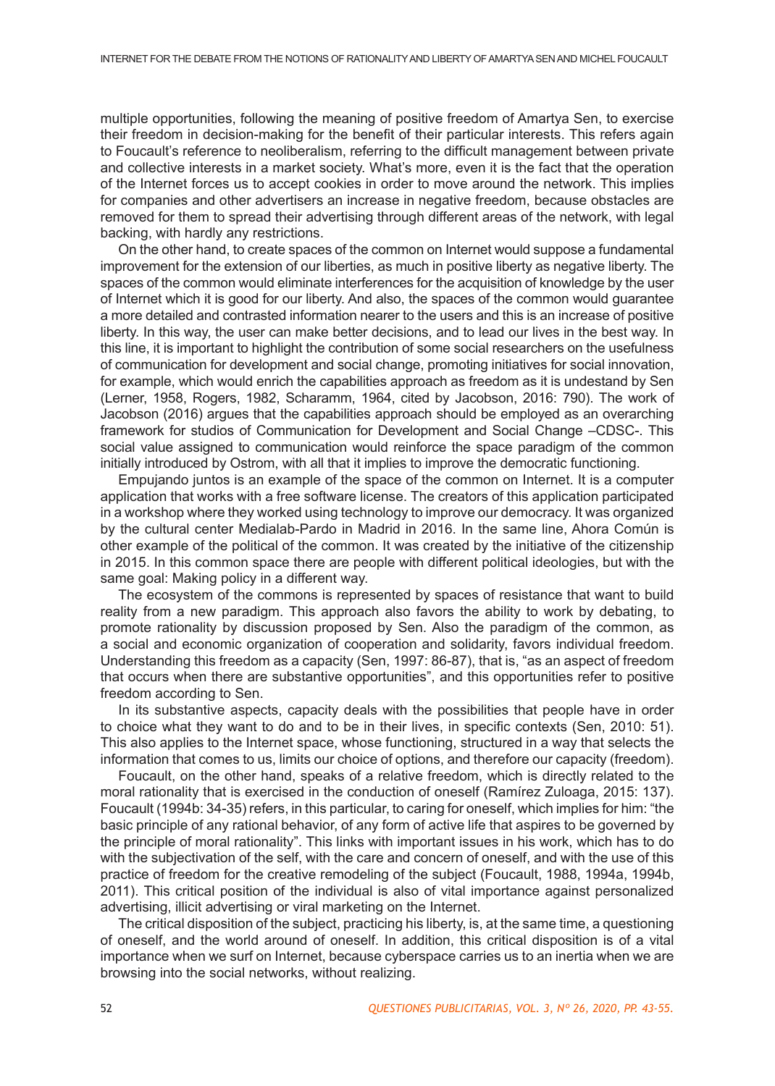multiple opportunities, following the meaning of positive freedom of Amartya Sen, to exercise their freedom in decision-making for the benefit of their particular interests. This refers again to Foucault's reference to neoliberalism, referring to the difficult management between private and collective interests in a market society. What's more, even it is the fact that the operation of the Internet forces us to accept cookies in order to move around the network. This implies for companies and other advertisers an increase in negative freedom, because obstacles are removed for them to spread their advertising through different areas of the network, with legal backing, with hardly any restrictions.

On the other hand, to create spaces of the common on Internet would suppose a fundamental improvement for the extension of our liberties, as much in positive liberty as negative liberty. The spaces of the common would eliminate interferences for the acquisition of knowledge by the user of Internet which it is good for our liberty. And also, the spaces of the common would guarantee a more detailed and contrasted information nearer to the users and this is an increase of positive liberty. In this way, the user can make better decisions, and to lead our lives in the best way. In this line, it is important to highlight the contribution of some social researchers on the usefulness of communication for development and social change, promoting initiatives for social innovation, for example, which would enrich the capabilities approach as freedom as it is undestand by Sen (Lerner, 1958, Rogers, 1982, Scharamm, 1964, cited by Jacobson, 2016: 790). The work of Jacobson (2016) argues that the capabilities approach should be employed as an overarching framework for studios of Communication for Development and Social Change –CDSC-. This social value assigned to communication would reinforce the space paradigm of the common initially introduced by Ostrom, with all that it implies to improve the democratic functioning.

Empujando juntos is an example of the space of the common on Internet. It is a computer application that works with a free software license. The creators of this application participated in a workshop where they worked using technology to improve our democracy. It was organized by the cultural center Medialab-Pardo in Madrid in 2016. In the same line, Ahora Común is other example of the political of the common. It was created by the initiative of the citizenship in 2015. In this common space there are people with different political ideologies, but with the same goal: Making policy in a different way.

The ecosystem of the commons is represented by spaces of resistance that want to build reality from a new paradigm. This approach also favors the ability to work by debating, to promote rationality by discussion proposed by Sen. Also the paradigm of the common, as a social and economic organization of cooperation and solidarity, favors individual freedom. Understanding this freedom as a capacity (Sen, 1997: 86-87), that is, "as an aspect of freedom that occurs when there are substantive opportunities", and this opportunities refer to positive freedom according to Sen.

In its substantive aspects, capacity deals with the possibilities that people have in order to choice what they want to do and to be in their lives, in specific contexts (Sen, 2010: 51). This also applies to the Internet space, whose functioning, structured in a way that selects the information that comes to us, limits our choice of options, and therefore our capacity (freedom).

Foucault, on the other hand, speaks of a relative freedom, which is directly related to the moral rationality that is exercised in the conduction of oneself (Ramírez Zuloaga, 2015: 137). Foucault (1994b: 34-35) refers, in this particular, to caring for oneself, which implies for him: "the basic principle of any rational behavior, of any form of active life that aspires to be governed by the principle of moral rationality". This links with important issues in his work, which has to do with the subjectivation of the self, with the care and concern of oneself, and with the use of this practice of freedom for the creative remodeling of the subject (Foucault, 1988, 1994a, 1994b, 2011). This critical position of the individual is also of vital importance against personalized advertising, illicit advertising or viral marketing on the Internet.

The critical disposition of the subject, practicing his liberty, is, at the same time, a questioning of oneself, and the world around of oneself. In addition, this critical disposition is of a vital importance when we surf on Internet, because cyberspace carries us to an inertia when we are browsing into the social networks, without realizing.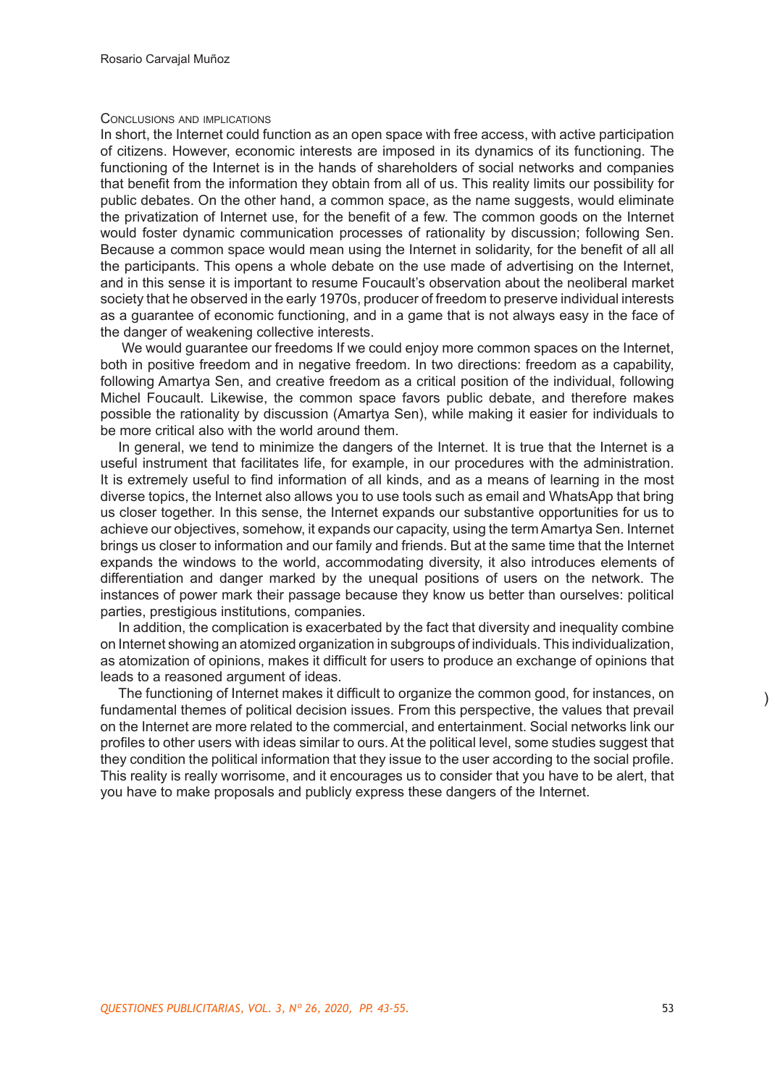## Conclusions and implications

In short, the Internet could function as an open space with free access, with active participation of citizens. However, economic interests are imposed in its dynamics of its functioning. The functioning of the Internet is in the hands of shareholders of social networks and companies that benefit from the information they obtain from all of us. This reality limits our possibility for public debates. On the other hand, a common space, as the name suggests, would eliminate the privatization of Internet use, for the benefit of a few. The common goods on the Internet would foster dynamic communication processes of rationality by discussion; following Sen. Because a common space would mean using the Internet in solidarity, for the benefit of all all the participants. This opens a whole debate on the use made of advertising on the Internet, and in this sense it is important to resume Foucault's observation about the neoliberal market society that he observed in the early 1970s, producer of freedom to preserve individual interests as a guarantee of economic functioning, and in a game that is not always easy in the face of the danger of weakening collective interests.

We would guarantee our freedoms If we could enjoy more common spaces on the Internet, both in positive freedom and in negative freedom. In two directions: freedom as a capability, following Amartya Sen, and creative freedom as a critical position of the individual, following Michel Foucault. Likewise, the common space favors public debate, and therefore makes possible the rationality by discussion (Amartya Sen), while making it easier for individuals to be more critical also with the world around them.

In general, we tend to minimize the dangers of the Internet. It is true that the Internet is a useful instrument that facilitates life, for example, in our procedures with the administration. It is extremely useful to find information of all kinds, and as a means of learning in the most diverse topics, the Internet also allows you to use tools such as email and WhatsApp that bring us closer together. In this sense, the Internet expands our substantive opportunities for us to achieve our objectives, somehow, it expands our capacity, using the term Amartya Sen. Internet brings us closer to information and our family and friends. But at the same time that the Internet expands the windows to the world, accommodating diversity, it also introduces elements of differentiation and danger marked by the unequal positions of users on the network. The instances of power mark their passage because they know us better than ourselves: political parties, prestigious institutions, companies.

In addition, the complication is exacerbated by the fact that diversity and inequality combine on Internet showing an atomized organization in subgroups of individuals. This individualization, as atomization of opinions, makes it difficult for users to produce an exchange of opinions that leads to a reasoned argument of ideas.

The functioning of Internet makes it difficult to organize the common good, for instances, on fundamental themes of political decision issues. From this perspective, the values that prevail on the Internet are more related to the commercial, and entertainment. Social networks link our profiles to other users with ideas similar to ours. At the political level, some studies suggest that they condition the political information that they issue to the user according to the social profile. This reality is really worrisome, and it encourages us to consider that you have to be alert, that you have to make proposals and publicly express these dangers of the Internet.

)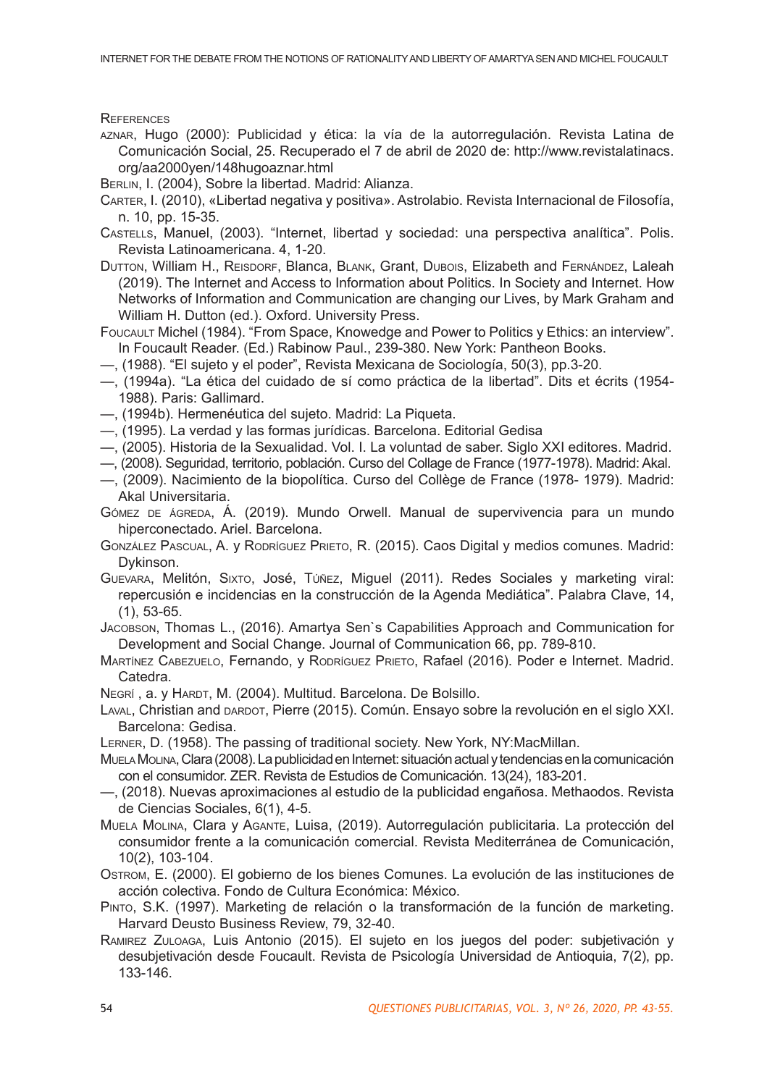**REFERENCES** 

- aznar, Hugo (2000): Publicidad y ética: la vía de la autorregulación. Revista Latina de Comunicación Social, 25. Recuperado el 7 de abril de 2020 de: http://www.revistalatinacs. org/aa2000yen/148hugoaznar.html
- Berlin, I. (2004), Sobre la libertad. Madrid: Alianza.
- Carter, I. (2010), «Libertad negativa y positiva». Astrolabio. Revista Internacional de Filosofía, n. 10, pp. 15-35.
- Castells, Manuel, (2003). "Internet, libertad y sociedad: una perspectiva analítica". Polis. Revista Latinoamericana. 4, 1-20.
- DUTTON, William H., REISDORF, Blanca, BLANK, Grant, DUBOIS, Elizabeth and FERNÁNDEZ, Laleah (2019). The Internet and Access to Information about Politics. In Society and Internet. How Networks of Information and Communication are changing our Lives, by Mark Graham and William H. Dutton (ed.). Oxford. University Press.
- FOUCAULT Michel (1984). "From Space, Knowedge and Power to Politics y Ethics: an interview". In Foucault Reader. (Ed.) Rabinow Paul., 239-380. New York: Pantheon Books.
- —, (1988). "El sujeto y el poder", Revista Mexicana de Sociología, 50(3), pp.3-20.
- —, (1994a). "La ética del cuidado de sí como práctica de la libertad". Dits et écrits (1954- 1988). Paris: Gallimard.
- —, (1994b). Hermenéutica del sujeto. Madrid: La Piqueta.
- —, (1995). La verdad y las formas jurídicas. Barcelona. Editorial Gedisa
- —, (2005). Historia de la Sexualidad. Vol. I. La voluntad de saber. Siglo XXI editores. Madrid.
- —, (2008). Seguridad, territorio, población. Curso del Collage de France (1977-1978). Madrid: Akal.
- —, (2009). Nacimiento de la biopolítica. Curso del Collège de France (1978- 1979). Madrid: Akal Universitaria.
- GÓMEZ DE ÁGREDA, Á. (2019). Mundo Orwell. Manual de supervivencia para un mundo hiperconectado. Ariel. Barcelona.
- GONZÁLEZ PASCUAL, A. Y RODRÍGUEZ PRIETO, R. (2015). Caos Digital y medios comunes. Madrid: Dykinson.
- Guevara, Melitón, Sixto, José, Túñez, Miguel (2011). Redes Sociales y marketing viral: repercusión e incidencias en la construcción de la Agenda Mediática". Palabra Clave, 14, (1), 53-65.
- Jacobson, Thomas L., (2016). Amartya Sen`s Capabilities Approach and Communication for Development and Social Change. Journal of Communication 66, pp. 789-810.
- MARTÍNEZ CABEZUELO, Fernando, y RODRÍGUEZ PRIETO, Rafael (2016). Poder e Internet. Madrid. Catedra.
- NEGRÍ, a. y HARDT, M. (2004). Multitud. Barcelona. De Bolsillo.
- LAVAL, Christian and DARDOT, Pierre (2015). Común. Ensayo sobre la revolución en el siglo XXI. Barcelona: Gedisa.
- Lerner, D. (1958). The passing of traditional society. New York, NY:MacMillan.
- MuelaMolina, Clara (2008). La publicidad en Internet: situación actual y tendencias en la comunicación con el consumidor. ZER. Revista de Estudios de Comunicación. 13(24), 183-201.
- —, (2018). Nuevas aproximaciones al estudio de la publicidad engañosa. Methaodos. Revista de Ciencias Sociales, 6(1), 4-5.
- Muela Molina, Clara y Agante, Luisa, (2019). Autorregulación publicitaria. La protección del consumidor frente a la comunicación comercial. Revista Mediterránea de Comunicación, 10(2), 103-104.
- Ostrom, E. (2000). El gobierno de los bienes Comunes. La evolución de las instituciones de acción colectiva. Fondo de Cultura Económica: México.
- Pinto, S.K. (1997). Marketing de relación o la transformación de la función de marketing. Harvard Deusto Business Review, 79, 32-40.
- Ramirez Zuloaga, Luis Antonio (2015). El sujeto en los juegos del poder: subjetivación y desubjetivación desde Foucault. Revista de Psicología Universidad de Antioquia, 7(2), pp. 133-146.